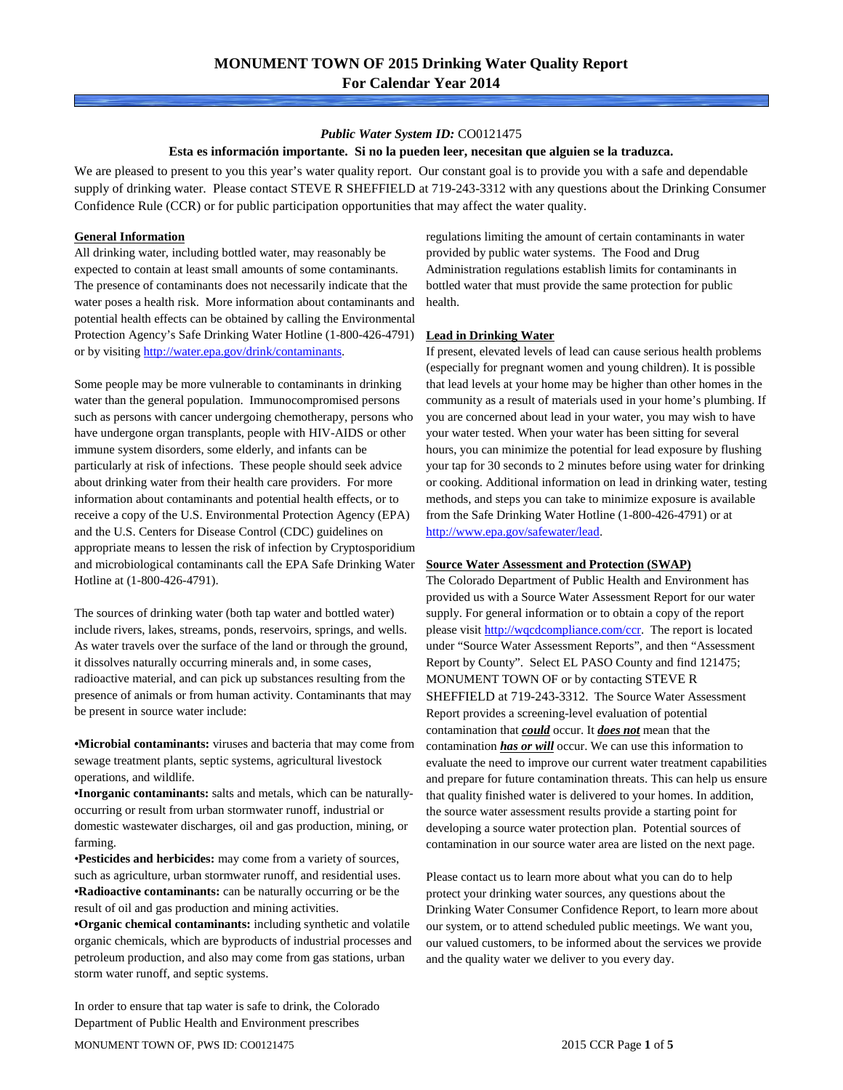#### *Public Water System ID:* CO0121475

#### **Esta es información importante. Si no la pueden leer, necesitan que alguien se la traduzca.**

We are pleased to present to you this year's water quality report. Our constant goal is to provide you with a safe and dependable supply of drinking water. Please contact STEVE R SHEFFIELD at 719-243-3312 with any questions about the Drinking Consumer Confidence Rule (CCR) or for public participation opportunities that may affect the water quality.

#### **General Information**

All drinking water, including bottled water, may reasonably be expected to contain at least small amounts of some contaminants. The presence of contaminants does not necessarily indicate that the water poses a health risk. More information about contaminants and potential health effects can be obtained by calling the Environmental Protection Agency's Safe Drinking Water Hotline (1-800-426-4791) or by visiting [http://water.epa.gov/drink/contaminants.](http://water.epa.gov/drink/contaminants)

Some people may be more vulnerable to contaminants in drinking water than the general population. Immunocompromised persons such as persons with cancer undergoing chemotherapy, persons who have undergone organ transplants, people with HIV-AIDS or other immune system disorders, some elderly, and infants can be particularly at risk of infections. These people should seek advice about drinking water from their health care providers. For more information about contaminants and potential health effects, or to receive a copy of the U.S. Environmental Protection Agency (EPA) and the U.S. Centers for Disease Control (CDC) guidelines on appropriate means to lessen the risk of infection by Cryptosporidium and microbiological contaminants call the EPA Safe Drinking Water Hotline at (1-800-426-4791).

The sources of drinking water (both tap water and bottled water) include rivers, lakes, streams, ponds, reservoirs, springs, and wells. As water travels over the surface of the land or through the ground, it dissolves naturally occurring minerals and, in some cases, radioactive material, and can pick up substances resulting from the presence of animals or from human activity. Contaminants that may be present in source water include:

**•Microbial contaminants:** viruses and bacteria that may come from sewage treatment plants, septic systems, agricultural livestock operations, and wildlife.

**•Inorganic contaminants:** salts and metals, which can be naturallyoccurring or result from urban stormwater runoff, industrial or domestic wastewater discharges, oil and gas production, mining, or farming.

•**Pesticides and herbicides:** may come from a variety of sources, such as agriculture, urban stormwater runoff, and residential uses. **•Radioactive contaminants:** can be naturally occurring or be the result of oil and gas production and mining activities.

**•Organic chemical contaminants:** including synthetic and volatile organic chemicals, which are byproducts of industrial processes and petroleum production, and also may come from gas stations, urban storm water runoff, and septic systems.

In order to ensure that tap water is safe to drink, the Colorado Department of Public Health and Environment prescribes

regulations limiting the amount of certain contaminants in water provided by public water systems. The Food and Drug Administration regulations establish limits for contaminants in bottled water that must provide the same protection for public health.

#### **Lead in Drinking Water**

If present, elevated levels of lead can cause serious health problems (especially for pregnant women and young children). It is possible that lead levels at your home may be higher than other homes in the community as a result of materials used in your home's plumbing. If you are concerned about lead in your water, you may wish to have your water tested. When your water has been sitting for several hours, you can minimize the potential for lead exposure by flushing your tap for 30 seconds to 2 minutes before using water for drinking or cooking. Additional information on lead in drinking water, testing methods, and steps you can take to minimize exposure is available from the Safe Drinking Water Hotline (1-800-426-4791) or at [http://www.epa.gov/safewater/lead.](http://www.epa.gov/safewater/lead) 

#### **Source Water Assessment and Protection (SWAP)**

The Colorado Department of Public Health and Environment has provided us with a Source Water Assessment Report for our water supply. For general information or to obtain a copy of the report please visit [http://wqcdcompliance.com/ccr.](http://wqcdcompliance.com/ccr) The report is located under "Source Water Assessment Reports", and then "Assessment Report by County". Select EL PASO County and find 121475; MONUMENT TOWN OF or by contacting STEVE R SHEFFIELD at 719-243-3312. The Source Water Assessment Report provides a screening-level evaluation of potential contamination that *could* occur. It *does not* mean that the contamination *has or will* occur. We can use this information to evaluate the need to improve our current water treatment capabilities and prepare for future contamination threats. This can help us ensure that quality finished water is delivered to your homes. In addition, the source water assessment results provide a starting point for developing a source water protection plan. Potential sources of contamination in our source water area are listed on the next page.

Please contact us to learn more about what you can do to help protect your drinking water sources, any questions about the Drinking Water Consumer Confidence Report, to learn more about our system, or to attend scheduled public meetings. We want you, our valued customers, to be informed about the services we provide and the quality water we deliver to you every day.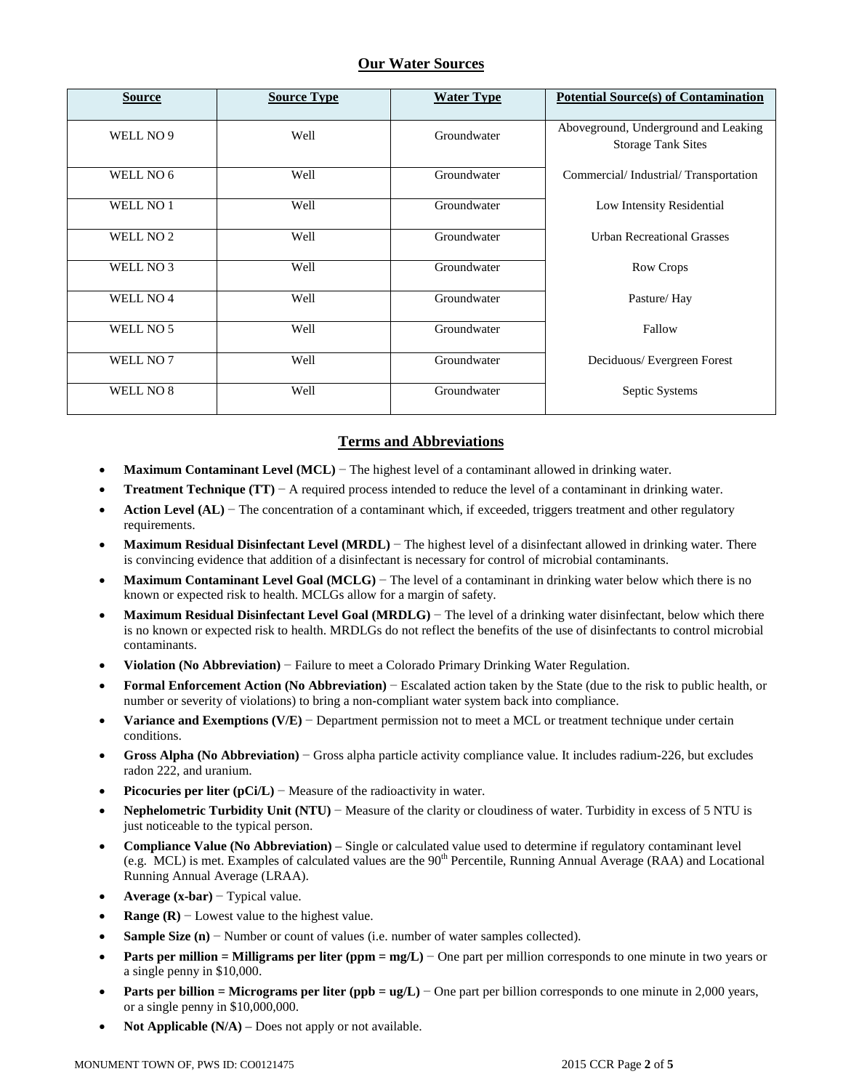## **Our Water Sources**

| <b>Source</b>        | <b>Source Type</b> | <b>Water Type</b> | <b>Potential Source(s) of Contamination</b>                       |
|----------------------|--------------------|-------------------|-------------------------------------------------------------------|
| WELL NO 9            | Well               | Groundwater       | Aboveground, Underground and Leaking<br><b>Storage Tank Sites</b> |
| WELL NO 6            | Well               | Groundwater       | Commercial/Industrial/Transportation                              |
| WELL NO 1            | Well               | Groundwater       | Low Intensity Residential                                         |
| WELL NO <sub>2</sub> | Well               | Groundwater       | <b>Urban Recreational Grasses</b>                                 |
| WELL NO <sub>3</sub> | Well               | Groundwater       | Row Crops                                                         |
| WELL NO <sub>4</sub> | Well               | Groundwater       | Pasture/Hay                                                       |
| WELL NO 5            | Well               | Groundwater       | Fallow                                                            |
| WELL NO 7            | Well               | Groundwater       | Deciduous/Evergreen Forest                                        |
| WELL NO <sub>8</sub> | Well               | Groundwater       | Septic Systems                                                    |

## **Terms and Abbreviations**

- **Maximum Contaminant Level (MCL)** − The highest level of a contaminant allowed in drinking water.
- **Treatment Technique (TT)**  $A$  required process intended to reduce the level of a contaminant in drinking water.
- **Action Level (AL)** − The concentration of a contaminant which, if exceeded, triggers treatment and other regulatory requirements.
- **Maximum Residual Disinfectant Level (MRDL)** − The highest level of a disinfectant allowed in drinking water. There is convincing evidence that addition of a disinfectant is necessary for control of microbial contaminants.
- **Maximum Contaminant Level Goal (MCLG)** − The level of a contaminant in drinking water below which there is no known or expected risk to health. MCLGs allow for a margin of safety.
- **Maximum Residual Disinfectant Level Goal (MRDLG)** − The level of a drinking water disinfectant, below which there is no known or expected risk to health. MRDLGs do not reflect the benefits of the use of disinfectants to control microbial contaminants.
- **Violation (No Abbreviation)** − Failure to meet a Colorado Primary Drinking Water Regulation.
- **Formal Enforcement Action (No Abbreviation)** − Escalated action taken by the State (due to the risk to public health, or number or severity of violations) to bring a non-compliant water system back into compliance.
- **Variance and Exemptions (V/E)** − Department permission not to meet a MCL or treatment technique under certain conditions.
- **Gross Alpha (No Abbreviation)** − Gross alpha particle activity compliance value. It includes radium-226, but excludes radon 222, and uranium.
- **Picocuries per liter (pCi/L)** − Measure of the radioactivity in water.
- **Nephelometric Turbidity Unit (NTU)** − Measure of the clarity or cloudiness of water. Turbidity in excess of 5 NTU is just noticeable to the typical person.
- **Compliance Value (No Abbreviation)** Single or calculated value used to determine if regulatory contaminant level (e.g. MCL) is met. Examples of calculated values are the  $90<sup>th</sup>$  Percentile, Running Annual Average (RAA) and Locational Running Annual Average (LRAA).
- **Average (x-bar)** − Typical value.
- **Range (R)**  $-$  Lowest value to the highest value.
- **Sample Size (n)** − Number or count of values (i.e. number of water samples collected).
- **Parts per million = Milligrams per liter (ppm = mg/L)** − One part per million corresponds to one minute in two years or a single penny in \$10,000.
- **Parts per billion = Micrograms per liter (ppb = ug/L)** − One part per billion corresponds to one minute in 2,000 years, or a single penny in \$10,000,000.
- **Not Applicable (N/A)** Does not apply or not available.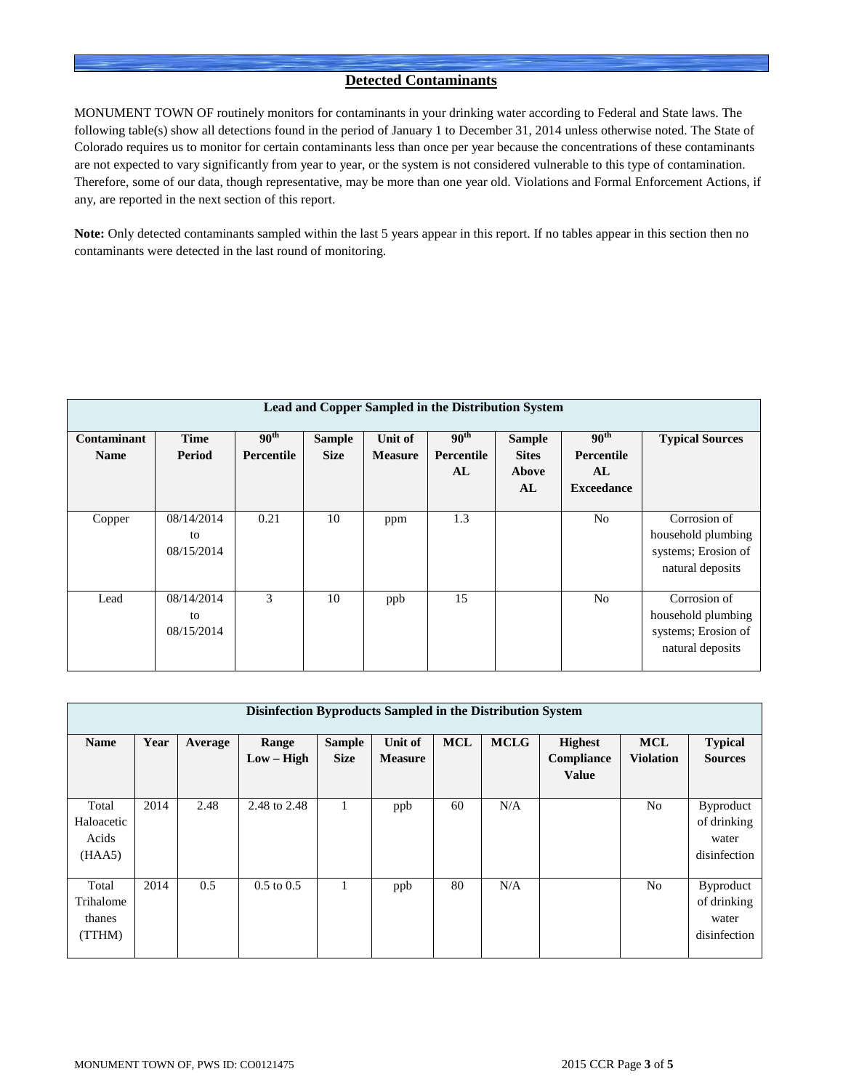### **Detected Contaminants**

MONUMENT TOWN OF routinely monitors for contaminants in your drinking water according to Federal and State laws. The following table(s) show all detections found in the period of January 1 to December 31, 2014 unless otherwise noted. The State of Colorado requires us to monitor for certain contaminants less than once per year because the concentrations of these contaminants are not expected to vary significantly from year to year, or the system is not considered vulnerable to this type of contamination. Therefore, some of our data, though representative, may be more than one year old. Violations and Formal Enforcement Actions, if any, are reported in the next section of this report.

**Note:** Only detected contaminants sampled within the last 5 years appear in this report. If no tables appear in this section then no contaminants were detected in the last round of monitoring.

| Lead and Copper Sampled in the Distribution System |                                |                                       |                              |                           |                                      |                                              |                                                           |                                                                               |  |
|----------------------------------------------------|--------------------------------|---------------------------------------|------------------------------|---------------------------|--------------------------------------|----------------------------------------------|-----------------------------------------------------------|-------------------------------------------------------------------------------|--|
| Contaminant<br><b>Name</b>                         | <b>Time</b><br>Period          | 90 <sup>th</sup><br><b>Percentile</b> | <b>Sample</b><br><b>Size</b> | Unit of<br><b>Measure</b> | $90^{\text{th}}$<br>Percentile<br>AL | <b>Sample</b><br><b>Sites</b><br>Above<br>AL | 90 <sup>th</sup><br>Percentile<br>AL<br><b>Exceedance</b> | <b>Typical Sources</b>                                                        |  |
| Copper                                             | 08/14/2014<br>to<br>08/15/2014 | 0.21                                  | 10                           | ppm                       | 1.3                                  |                                              | N <sub>0</sub>                                            | Corrosion of<br>household plumbing<br>systems; Erosion of<br>natural deposits |  |
| Lead                                               | 08/14/2014<br>to<br>08/15/2014 | 3                                     | 10                           | ppb                       | 15                                   |                                              | N <sub>0</sub>                                            | Corrosion of<br>household plumbing<br>systems; Erosion of<br>natural deposits |  |

| Disinfection Byproducts Sampled in the Distribution System |      |         |                       |                              |                           |            |             |                                              |                                |                                                          |  |
|------------------------------------------------------------|------|---------|-----------------------|------------------------------|---------------------------|------------|-------------|----------------------------------------------|--------------------------------|----------------------------------------------------------|--|
| <b>Name</b>                                                | Year | Average | Range<br>$Low - High$ | <b>Sample</b><br><b>Size</b> | Unit of<br><b>Measure</b> | <b>MCL</b> | <b>MCLG</b> | <b>Highest</b><br>Compliance<br><b>Value</b> | <b>MCL</b><br><b>Violation</b> | <b>Typical</b><br><b>Sources</b>                         |  |
| Total<br>Haloacetic<br>Acids<br>(HAA5)                     | 2014 | 2.48    | 2.48 to 2.48          |                              | ppb                       | 60         | N/A         |                                              | No                             | <b>Byproduct</b><br>of drinking<br>water<br>disinfection |  |
| Total<br>Trihalome<br>thanes<br>(TTHM)                     | 2014 | 0.5     | $0.5 \text{ to } 0.5$ |                              | ppb                       | 80         | N/A         |                                              | N <sub>0</sub>                 | Byproduct<br>of drinking<br>water<br>disinfection        |  |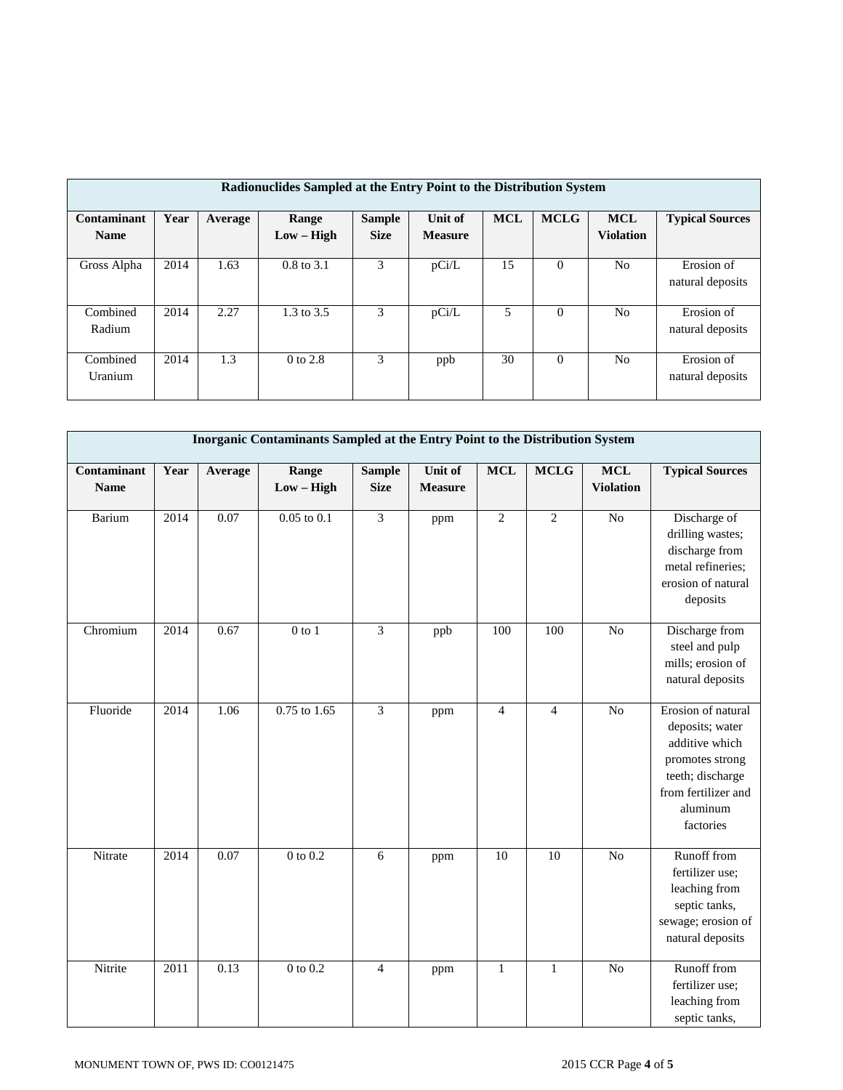| Radionuclides Sampled at the Entry Point to the Distribution System |      |         |                       |                              |                           |            |             |                                |                                |  |
|---------------------------------------------------------------------|------|---------|-----------------------|------------------------------|---------------------------|------------|-------------|--------------------------------|--------------------------------|--|
| Contaminant<br><b>Name</b>                                          | Year | Average | Range<br>$Low - High$ | <b>Sample</b><br><b>Size</b> | Unit of<br><b>Measure</b> | <b>MCL</b> | <b>MCLG</b> | <b>MCL</b><br><b>Violation</b> | <b>Typical Sources</b>         |  |
| Gross Alpha                                                         | 2014 | 1.63    | $0.8 \text{ to } 3.1$ | 3                            | pCi/L                     | 15         | $\Omega$    | N <sub>o</sub>                 | Erosion of<br>natural deposits |  |
| Combined<br>Radium                                                  | 2014 | 2.27    | 1.3 to 3.5            | 3                            | pCi/L                     | 5          | $\Omega$    | N <sub>o</sub>                 | Erosion of<br>natural deposits |  |
| Combined<br>Uranium                                                 | 2014 | 1.3     | $0$ to $2.8$          | 3                            | ppb                       | 30         | $\theta$    | N <sub>o</sub>                 | Erosion of<br>natural deposits |  |

|                            | Inorganic Contaminants Sampled at the Entry Point to the Distribution System |         |                       |                              |                           |                |                |                                |                                                                                                                                                |  |  |
|----------------------------|------------------------------------------------------------------------------|---------|-----------------------|------------------------------|---------------------------|----------------|----------------|--------------------------------|------------------------------------------------------------------------------------------------------------------------------------------------|--|--|
| Contaminant<br><b>Name</b> | Year                                                                         | Average | Range<br>$Low - High$ | <b>Sample</b><br><b>Size</b> | Unit of<br><b>Measure</b> | <b>MCL</b>     | <b>MCLG</b>    | <b>MCL</b><br><b>Violation</b> | <b>Typical Sources</b>                                                                                                                         |  |  |
| Barium                     | 2014                                                                         | 0.07    | $0.05$ to $0.1$       | $\overline{3}$               | ppm                       | $\overline{2}$ | $\overline{2}$ | N <sub>o</sub>                 | Discharge of<br>drilling wastes;<br>discharge from<br>metal refineries;<br>erosion of natural<br>deposits                                      |  |  |
| Chromium                   | 2014                                                                         | 0.67    | $0$ to $1$            | $\overline{3}$               | ppb                       | 100            | 100            | $\overline{No}$                | Discharge from<br>steel and pulp<br>mills; erosion of<br>natural deposits                                                                      |  |  |
| Fluoride                   | 2014                                                                         | 1.06    | $0.75$ to 1.65        | $\overline{3}$               | ppm                       | $\overline{4}$ | $\overline{4}$ | $\overline{No}$                | Erosion of natural<br>deposits; water<br>additive which<br>promotes strong<br>teeth; discharge<br>from fertilizer and<br>aluminum<br>factories |  |  |
| Nitrate                    | 2014                                                                         | 0.07    | $0$ to $0.2$          | $6\,$                        | ppm                       | 10             | 10             | $\rm No$                       | Runoff from<br>fertilizer use;<br>leaching from<br>septic tanks,<br>sewage; erosion of<br>natural deposits                                     |  |  |
| Nitrite                    | 2011                                                                         | 0.13    | $0$ to $0.2$          | $\overline{4}$               | ppm                       | $\mathbf{1}$   | $\mathbf{1}$   | N <sub>o</sub>                 | Runoff from<br>fertilizer use;<br>leaching from<br>septic tanks,                                                                               |  |  |